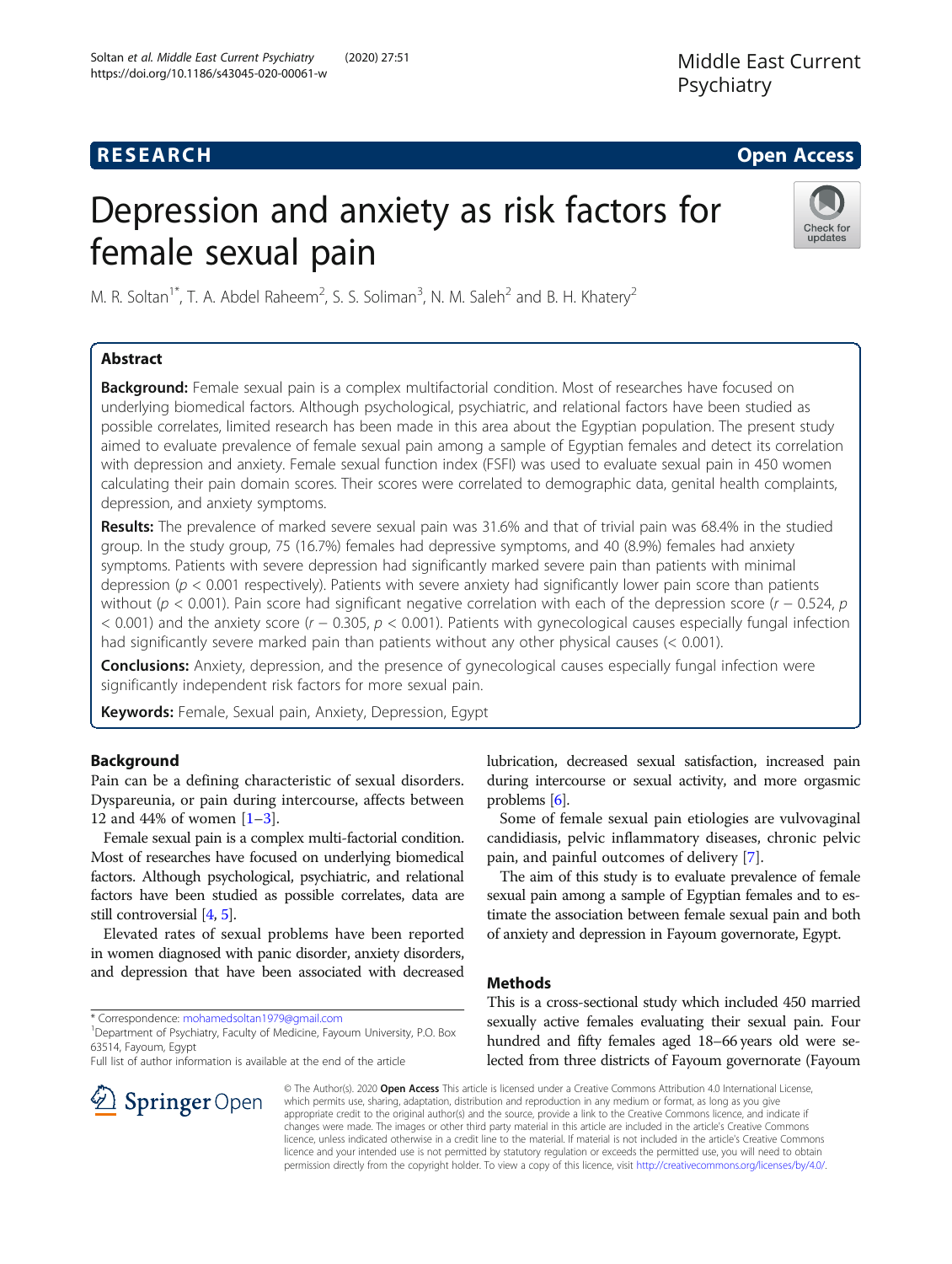## **RESEARCH CHE Open Access**

# Depression and anxiety as risk factors for female sexual pain



M. R. Soltan<sup>1\*</sup>, T. A. Abdel Raheem<sup>2</sup>, S. S. Soliman<sup>3</sup>, N. M. Saleh<sup>2</sup> and B. H. Khatery<sup>2</sup>

## Abstract

**Background:** Female sexual pain is a complex multifactorial condition. Most of researches have focused on underlying biomedical factors. Although psychological, psychiatric, and relational factors have been studied as possible correlates, limited research has been made in this area about the Egyptian population. The present study aimed to evaluate prevalence of female sexual pain among a sample of Egyptian females and detect its correlation with depression and anxiety. Female sexual function index (FSFI) was used to evaluate sexual pain in 450 women calculating their pain domain scores. Their scores were correlated to demographic data, genital health complaints, depression, and anxiety symptoms.

Results: The prevalence of marked severe sexual pain was 31.6% and that of trivial pain was 68.4% in the studied group. In the study group, 75 (16.7%) females had depressive symptoms, and 40 (8.9%) females had anxiety symptoms. Patients with severe depression had significantly marked severe pain than patients with minimal depression ( $p < 0.001$  respectively). Patients with severe anxiety had significantly lower pain score than patients without (p < 0.001). Pain score had significant negative correlation with each of the depression score (r – 0.524, p < 0.001) and the anxiety score (r − 0.305, p < 0.001). Patients with gynecological causes especially fungal infection had significantly severe marked pain than patients without any other physical causes (< 0.001).

**Conclusions:** Anxiety, depression, and the presence of gynecological causes especially fungal infection were significantly independent risk factors for more sexual pain.

Keywords: Female, Sexual pain, Anxiety, Depression, Egypt

## Background

Pain can be a defining characteristic of sexual disorders. Dyspareunia, or pain during intercourse, affects between 12 and 44% of women  $[1-3]$  $[1-3]$  $[1-3]$ .

Female sexual pain is a complex multi-factorial condition. Most of researches have focused on underlying biomedical factors. Although psychological, psychiatric, and relational factors have been studied as possible correlates, data are still controversial [\[4,](#page-7-0) [5\]](#page-7-0).

Elevated rates of sexual problems have been reported in women diagnosed with panic disorder, anxiety disorders, and depression that have been associated with decreased

\* Correspondence: [mohamedsoltan1979@gmail.com](mailto:mohamedsoltan1979@gmail.com) <sup>1</sup>

<sup>1</sup> Department of Psychiatry, Faculty of Medicine, Fayoum University, P.O. Box 63514, Fayoum, Egypt

Full list of author information is available at the end of the article

lubrication, decreased sexual satisfaction, increased pain during intercourse or sexual activity, and more orgasmic problems [\[6\]](#page-7-0).

Some of female sexual pain etiologies are vulvovaginal candidiasis, pelvic inflammatory diseases, chronic pelvic pain, and painful outcomes of delivery [[7\]](#page-7-0).

The aim of this study is to evaluate prevalence of female sexual pain among a sample of Egyptian females and to estimate the association between female sexual pain and both of anxiety and depression in Fayoum governorate, Egypt.

## **Methods**

This is a cross-sectional study which included 450 married sexually active females evaluating their sexual pain. Four hundred and fifty females aged 18–66 years old were selected from three districts of Fayoum governorate (Fayoum



© The Author(s). 2020 Open Access This article is licensed under a Creative Commons Attribution 4.0 International License, which permits use, sharing, adaptation, distribution and reproduction in any medium or format, as long as you give appropriate credit to the original author(s) and the source, provide a link to the Creative Commons licence, and indicate if changes were made. The images or other third party material in this article are included in the article's Creative Commons licence, unless indicated otherwise in a credit line to the material. If material is not included in the article's Creative Commons licence and your intended use is not permitted by statutory regulation or exceeds the permitted use, you will need to obtain permission directly from the copyright holder. To view a copy of this licence, visit <http://creativecommons.org/licenses/by/4.0/>.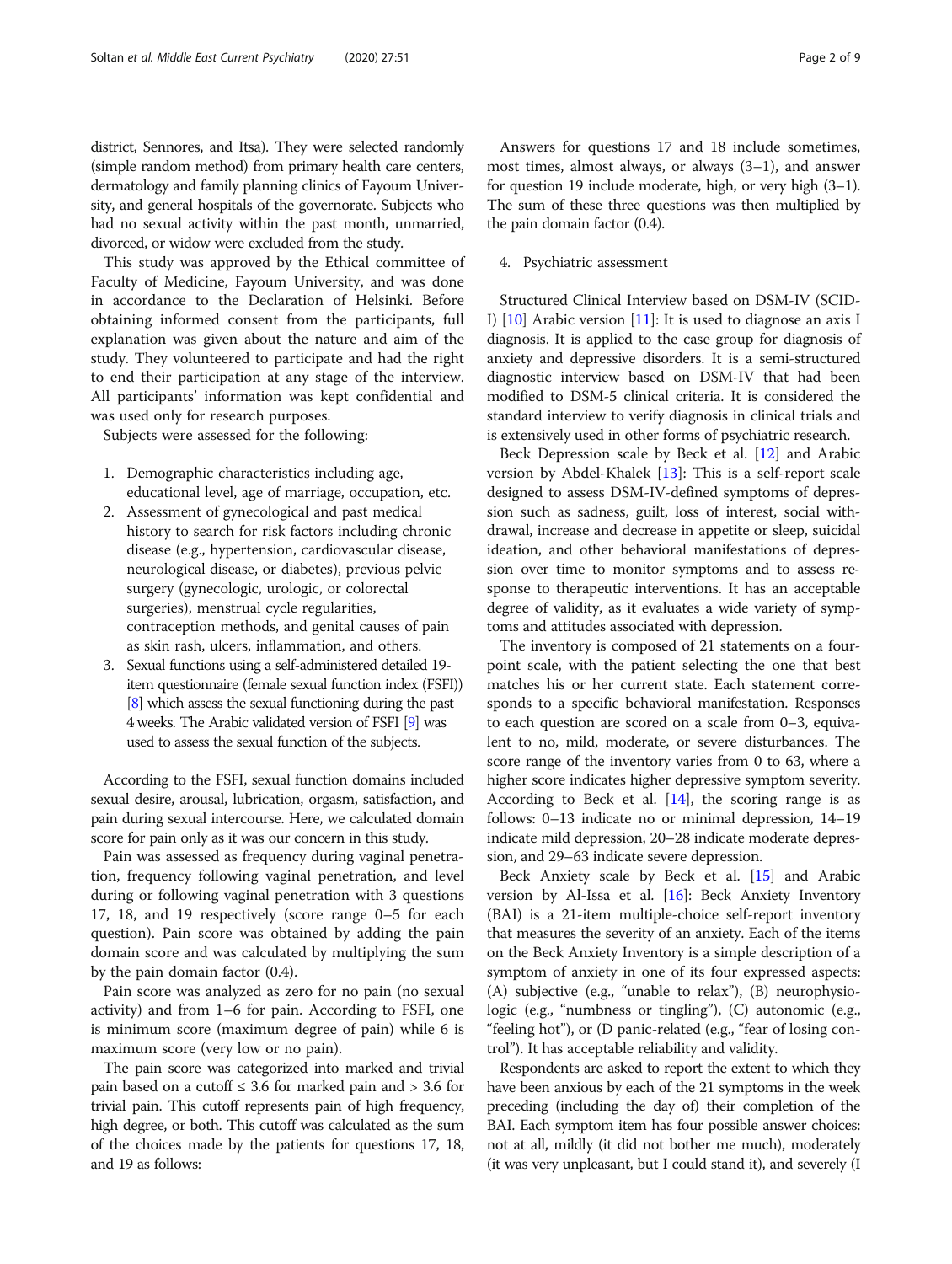district, Sennores, and Itsa). They were selected randomly (simple random method) from primary health care centers, dermatology and family planning clinics of Fayoum University, and general hospitals of the governorate. Subjects who had no sexual activity within the past month, unmarried, divorced, or widow were excluded from the study.

This study was approved by the Ethical committee of Faculty of Medicine, Fayoum University, and was done in accordance to the Declaration of Helsinki. Before obtaining informed consent from the participants, full explanation was given about the nature and aim of the study. They volunteered to participate and had the right to end their participation at any stage of the interview. All participants' information was kept confidential and was used only for research purposes.

Subjects were assessed for the following:

- 1. Demographic characteristics including age, educational level, age of marriage, occupation, etc.
- 2. Assessment of gynecological and past medical history to search for risk factors including chronic disease (e.g., hypertension, cardiovascular disease, neurological disease, or diabetes), previous pelvic surgery (gynecologic, urologic, or colorectal surgeries), menstrual cycle regularities, contraception methods, and genital causes of pain as skin rash, ulcers, inflammation, and others.
- 3. Sexual functions using a self-administered detailed 19 item questionnaire (female sexual function index (FSFI)) [\[8\]](#page-7-0) which assess the sexual functioning during the past 4 weeks. The Arabic validated version of FSFI [\[9\]](#page-7-0) was used to assess the sexual function of the subjects.

According to the FSFI, sexual function domains included sexual desire, arousal, lubrication, orgasm, satisfaction, and pain during sexual intercourse. Here, we calculated domain score for pain only as it was our concern in this study.

Pain was assessed as frequency during vaginal penetration, frequency following vaginal penetration, and level during or following vaginal penetration with 3 questions 17, 18, and 19 respectively (score range 0–5 for each question). Pain score was obtained by adding the pain domain score and was calculated by multiplying the sum by the pain domain factor (0.4).

Pain score was analyzed as zero for no pain (no sexual activity) and from 1–6 for pain. According to FSFI, one is minimum score (maximum degree of pain) while 6 is maximum score (very low or no pain).

The pain score was categorized into marked and trivial pain based on a cutoff  $\leq$  3.6 for marked pain and  $>$  3.6 for trivial pain. This cutoff represents pain of high frequency, high degree, or both. This cutoff was calculated as the sum of the choices made by the patients for questions 17, 18, and 19 as follows:

Answers for questions 17 and 18 include sometimes, most times, almost always, or always (3–1), and answer for question 19 include moderate, high, or very high (3–1). The sum of these three questions was then multiplied by the pain domain factor (0.4).

#### 4. Psychiatric assessment

Structured Clinical Interview based on DSM-IV (SCID-I) [\[10\]](#page-7-0) Arabic version [\[11](#page-7-0)]: It is used to diagnose an axis I diagnosis. It is applied to the case group for diagnosis of anxiety and depressive disorders. It is a semi-structured diagnostic interview based on DSM-IV that had been modified to DSM-5 clinical criteria. It is considered the standard interview to verify diagnosis in clinical trials and is extensively used in other forms of psychiatric research.

Beck Depression scale by Beck et al. [\[12](#page-7-0)] and Arabic version by Abdel-Khalek [\[13](#page-7-0)]: This is a self-report scale designed to assess DSM-IV-defined symptoms of depression such as sadness, guilt, loss of interest, social withdrawal, increase and decrease in appetite or sleep, suicidal ideation, and other behavioral manifestations of depression over time to monitor symptoms and to assess response to therapeutic interventions. It has an acceptable degree of validity, as it evaluates a wide variety of symptoms and attitudes associated with depression.

The inventory is composed of 21 statements on a fourpoint scale, with the patient selecting the one that best matches his or her current state. Each statement corresponds to a specific behavioral manifestation. Responses to each question are scored on a scale from 0–3, equivalent to no, mild, moderate, or severe disturbances. The score range of the inventory varies from 0 to 63, where a higher score indicates higher depressive symptom severity. According to Beck et al.  $[14]$ , the scoring range is as follows: 0–13 indicate no or minimal depression, 14–19 indicate mild depression, 20–28 indicate moderate depression, and 29–63 indicate severe depression.

Beck Anxiety scale by Beck et al. [\[15\]](#page-8-0) and Arabic version by Al-Issa et al. [\[16\]](#page-8-0): Beck Anxiety Inventory (BAI) is a 21-item multiple-choice self-report inventory that measures the severity of an anxiety. Each of the items on the Beck Anxiety Inventory is a simple description of a symptom of anxiety in one of its four expressed aspects: (A) subjective (e.g., "unable to relax"), (B) neurophysiologic (e.g., "numbness or tingling"), (C) autonomic (e.g., "feeling hot"), or (D panic-related (e.g., "fear of losing control"). It has acceptable reliability and validity.

Respondents are asked to report the extent to which they have been anxious by each of the 21 symptoms in the week preceding (including the day of) their completion of the BAI. Each symptom item has four possible answer choices: not at all, mildly (it did not bother me much), moderately (it was very unpleasant, but I could stand it), and severely (I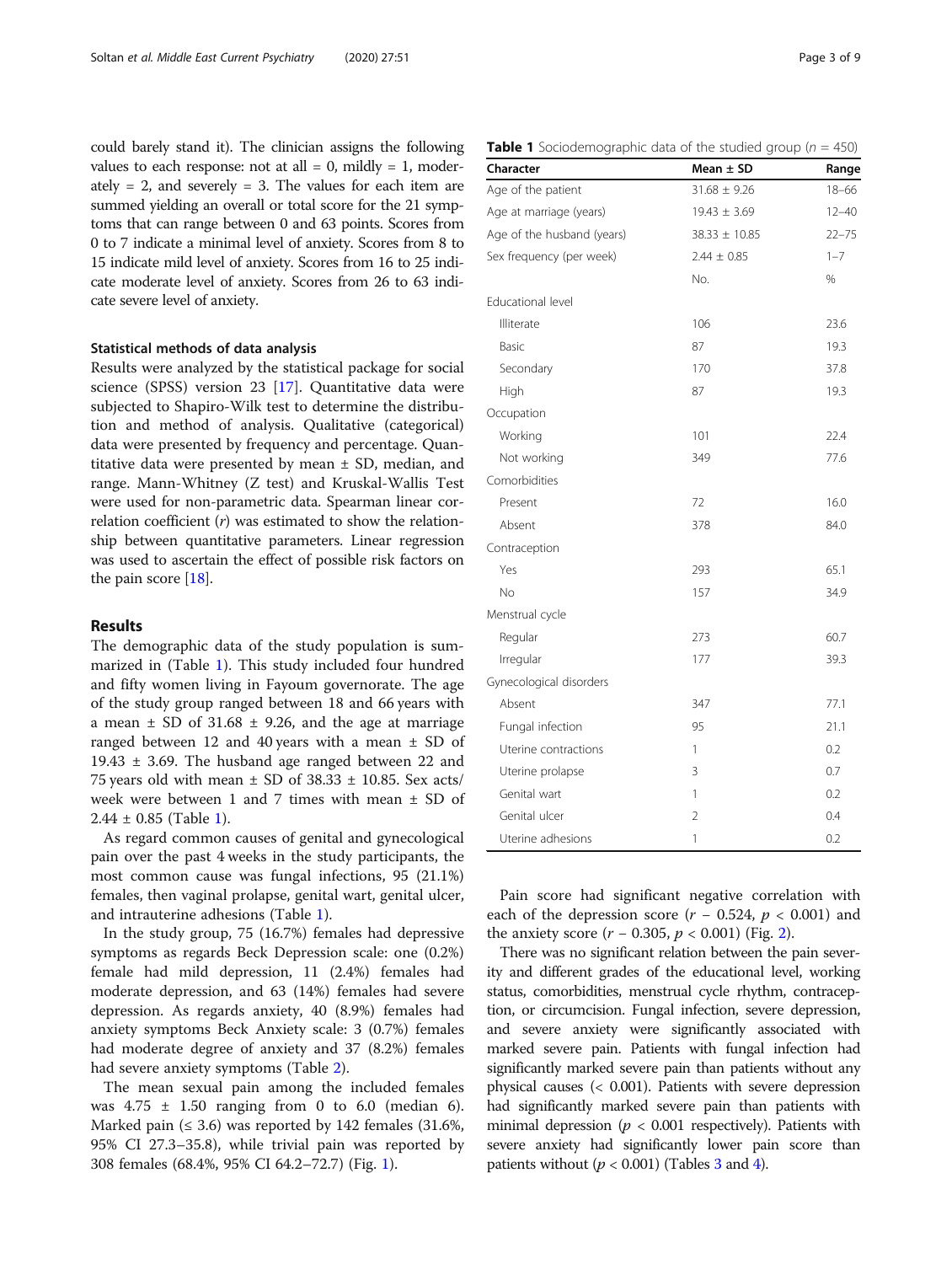could barely stand it). The clinician assigns the following values to each response: not at all  $= 0$ , mildly  $= 1$ , moderately  $= 2$ , and severely  $= 3$ . The values for each item are summed yielding an overall or total score for the 21 symptoms that can range between 0 and 63 points. Scores from 0 to 7 indicate a minimal level of anxiety. Scores from 8 to 15 indicate mild level of anxiety. Scores from 16 to 25 indicate moderate level of anxiety. Scores from 26 to 63 indicate severe level of anxiety.

#### Statistical methods of data analysis

Results were analyzed by the statistical package for social science (SPSS) version 23 [\[17\]](#page-8-0). Quantitative data were subjected to Shapiro-Wilk test to determine the distribution and method of analysis. Qualitative (categorical) data were presented by frequency and percentage. Quantitative data were presented by mean  $\pm$  SD, median, and range. Mann-Whitney (Z test) and Kruskal-Wallis Test were used for non-parametric data. Spearman linear correlation coefficient  $(r)$  was estimated to show the relationship between quantitative parameters. Linear regression was used to ascertain the effect of possible risk factors on the pain score  $[18]$  $[18]$ .

### Results

The demographic data of the study population is summarized in (Table 1). This study included four hundred and fifty women living in Fayoum governorate. The age of the study group ranged between 18 and 66 years with a mean  $\pm$  SD of 31.68  $\pm$  9.26, and the age at marriage ranged between 12 and 40 years with a mean  $\pm$  SD of 19.43  $\pm$  3.69. The husband age ranged between 22 and 75 years old with mean  $\pm$  SD of 38.33  $\pm$  10.85. Sex acts/ week were between 1 and 7 times with mean ± SD of  $2.44 \pm 0.85$  (Table 1).

As regard common causes of genital and gynecological pain over the past 4 weeks in the study participants, the most common cause was fungal infections, 95 (21.1%) females, then vaginal prolapse, genital wart, genital ulcer, and intrauterine adhesions (Table 1).

In the study group, 75 (16.7%) females had depressive symptoms as regards Beck Depression scale: one (0.2%) female had mild depression, 11 (2.4%) females had moderate depression, and 63 (14%) females had severe depression. As regards anxiety, 40 (8.9%) females had anxiety symptoms Beck Anxiety scale: 3 (0.7%) females had moderate degree of anxiety and 37 (8.2%) females had severe anxiety symptoms (Table [2\)](#page-3-0).

The mean sexual pain among the included females was  $4.75 \pm 1.50$  ranging from 0 to 6.0 (median 6). Marked pain  $(≤ 3.6)$  was reported by 142 females  $(31.6%, )$ 95% CI 27.3–35.8), while trivial pain was reported by 308 females (68.4%, 95% CI 64.2–72.7) (Fig. [1\)](#page-3-0).

|  |  | Table 1 Sociodemographic data of the studied group ( $n = 450$ ) |  |  |  |  |  |
|--|--|------------------------------------------------------------------|--|--|--|--|--|
|--|--|------------------------------------------------------------------|--|--|--|--|--|

| Character                  | Mean $\pm$ SD     | Range     |
|----------------------------|-------------------|-----------|
| Age of the patient         | $31.68 \pm 9.26$  | $18 - 66$ |
| Age at marriage (years)    | $19.43 \pm 3.69$  | $12 - 40$ |
| Age of the husband (years) | $38.33 \pm 10.85$ | $22 - 75$ |
| Sex frequency (per week)   | $2.44 \pm 0.85$   | $1 - 7$   |
|                            | No.               | %         |
| Educational level          |                   |           |
| Illiterate                 | 106               | 23.6      |
| Basic                      | 87                | 19.3      |
| Secondary                  | 170               | 37.8      |
| High                       | 87                | 19.3      |
| Occupation                 |                   |           |
| Working                    | 101               | 22.4      |
| Not working                | 349               | 77.6      |
| Comorbidities              |                   |           |
| Present                    | 72                | 16.0      |
| Absent                     | 378               | 84.0      |
| Contraception              |                   |           |
| Yes                        | 293               | 65.1      |
| No                         | 157               | 34.9      |
| Menstrual cycle            |                   |           |
| Regular                    | 273               | 60.7      |
| Irregular                  | 177               | 39.3      |
| Gynecological disorders    |                   |           |
| Absent                     | 347               | 77.1      |
| Fungal infection           | 95                | 21.1      |
| Uterine contractions       | 1                 | 0.2       |
| Uterine prolapse           | 3                 | 0.7       |
| Genital wart               | 1                 | 0.2       |
| Genital ulcer              | 2                 | 0.4       |
| Uterine adhesions          | $\mathbb{1}$      | 0.2       |

Pain score had significant negative correlation with each of the depression score  $(r - 0.524, p < 0.001)$  and the anxiety score  $(r - 0.305, p < 0.001)$  (Fig. [2](#page-4-0)).

There was no significant relation between the pain severity and different grades of the educational level, working status, comorbidities, menstrual cycle rhythm, contraception, or circumcision. Fungal infection, severe depression, and severe anxiety were significantly associated with marked severe pain. Patients with fungal infection had significantly marked severe pain than patients without any physical causes (< 0.001). Patients with severe depression had significantly marked severe pain than patients with minimal depression ( $p < 0.001$  respectively). Patients with severe anxiety had significantly lower pain score than patients without ( $p < 0.001$ ) (Tables [3](#page-5-0) and [4](#page-6-0)).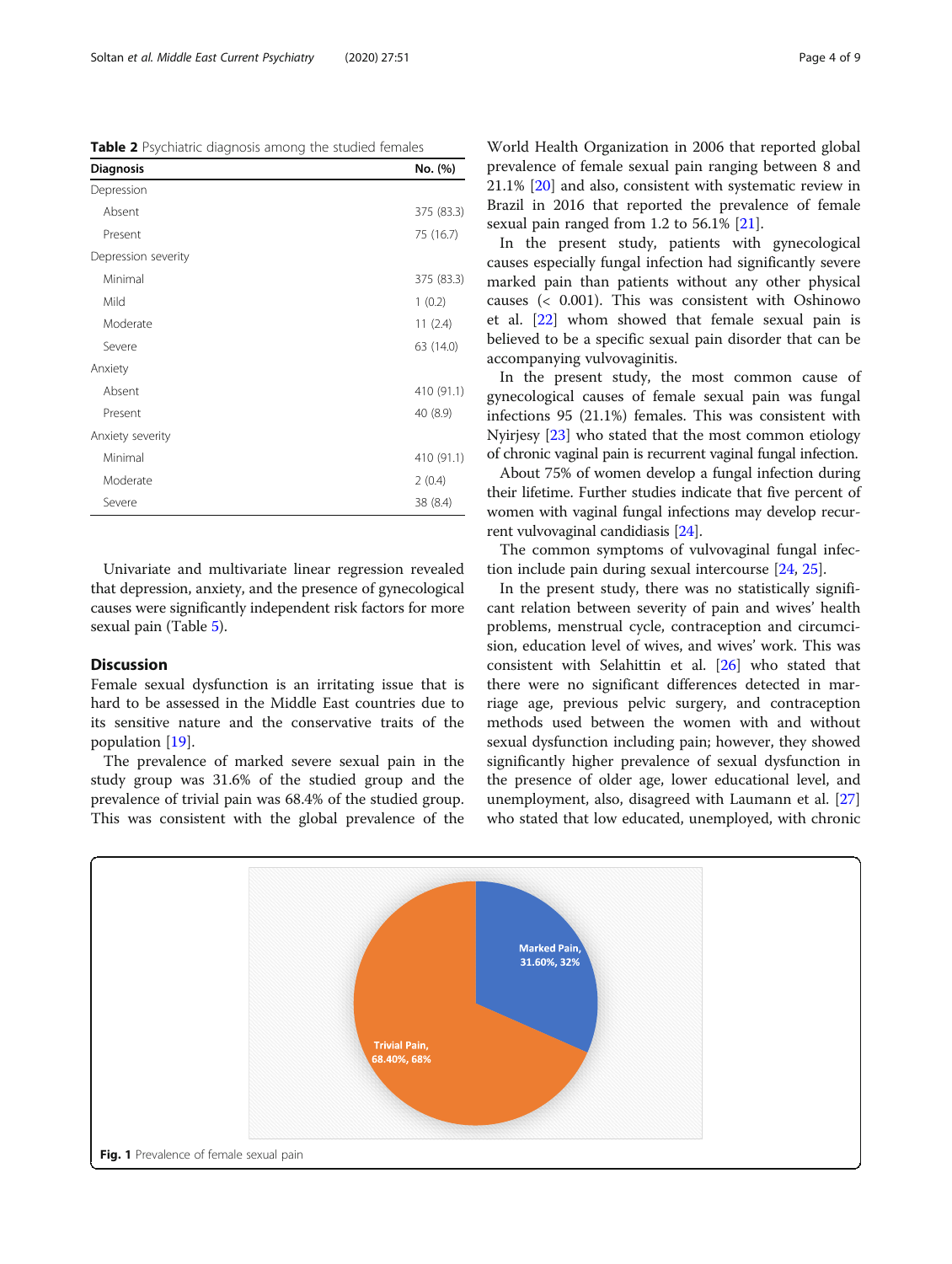<span id="page-3-0"></span>Table 2 Psychiatric diagnosis among the studied females

| <b>Diagnosis</b>    | No. (%)    |
|---------------------|------------|
| Depression          |            |
| Absent              | 375 (83.3) |
| Present             | 75 (16.7)  |
| Depression severity |            |
| Minimal             | 375 (83.3) |
| Mild                | 1(0.2)     |
| Moderate            | 11(2.4)    |
| Severe              | 63 (14.0)  |
| Anxiety             |            |
| Absent              | 410 (91.1) |
| Present             | 40 (8.9)   |
| Anxiety severity    |            |
| Minimal             | 410 (91.1) |
| Moderate            | 2(0.4)     |
| Severe              | 38 (8.4)   |

Univariate and multivariate linear regression revealed that depression, anxiety, and the presence of gynecological causes were significantly independent risk factors for more sexual pain (Table [5](#page-7-0)).

### Discussion

Female sexual dysfunction is an irritating issue that is hard to be assessed in the Middle East countries due to its sensitive nature and the conservative traits of the population [[19\]](#page-8-0).

The prevalence of marked severe sexual pain in the study group was 31.6% of the studied group and the prevalence of trivial pain was 68.4% of the studied group. This was consistent with the global prevalence of the

World Health Organization in 2006 that reported global prevalence of female sexual pain ranging between 8 and 21.1% [[20\]](#page-8-0) and also, consistent with systematic review in Brazil in 2016 that reported the prevalence of female sexual pain ranged from 1.2 to 56.1% [[21\]](#page-8-0).

In the present study, patients with gynecological causes especially fungal infection had significantly severe marked pain than patients without any other physical causes (< 0.001). This was consistent with Oshinowo et al. [\[22](#page-8-0)] whom showed that female sexual pain is believed to be a specific sexual pain disorder that can be accompanying vulvovaginitis.

In the present study, the most common cause of gynecological causes of female sexual pain was fungal infections 95 (21.1%) females. This was consistent with Nyirjesy [\[23](#page-8-0)] who stated that the most common etiology of chronic vaginal pain is recurrent vaginal fungal infection.

About 75% of women develop a fungal infection during their lifetime. Further studies indicate that five percent of women with vaginal fungal infections may develop recurrent vulvovaginal candidiasis [[24](#page-8-0)].

The common symptoms of vulvovaginal fungal infection include pain during sexual intercourse [\[24](#page-8-0), [25](#page-8-0)].

In the present study, there was no statistically significant relation between severity of pain and wives' health problems, menstrual cycle, contraception and circumcision, education level of wives, and wives' work. This was consistent with Selahittin et al. [[26\]](#page-8-0) who stated that there were no significant differences detected in marriage age, previous pelvic surgery, and contraception methods used between the women with and without sexual dysfunction including pain; however, they showed significantly higher prevalence of sexual dysfunction in the presence of older age, lower educational level, and unemployment, also, disagreed with Laumann et al. [[27](#page-8-0)] who stated that low educated, unemployed, with chronic

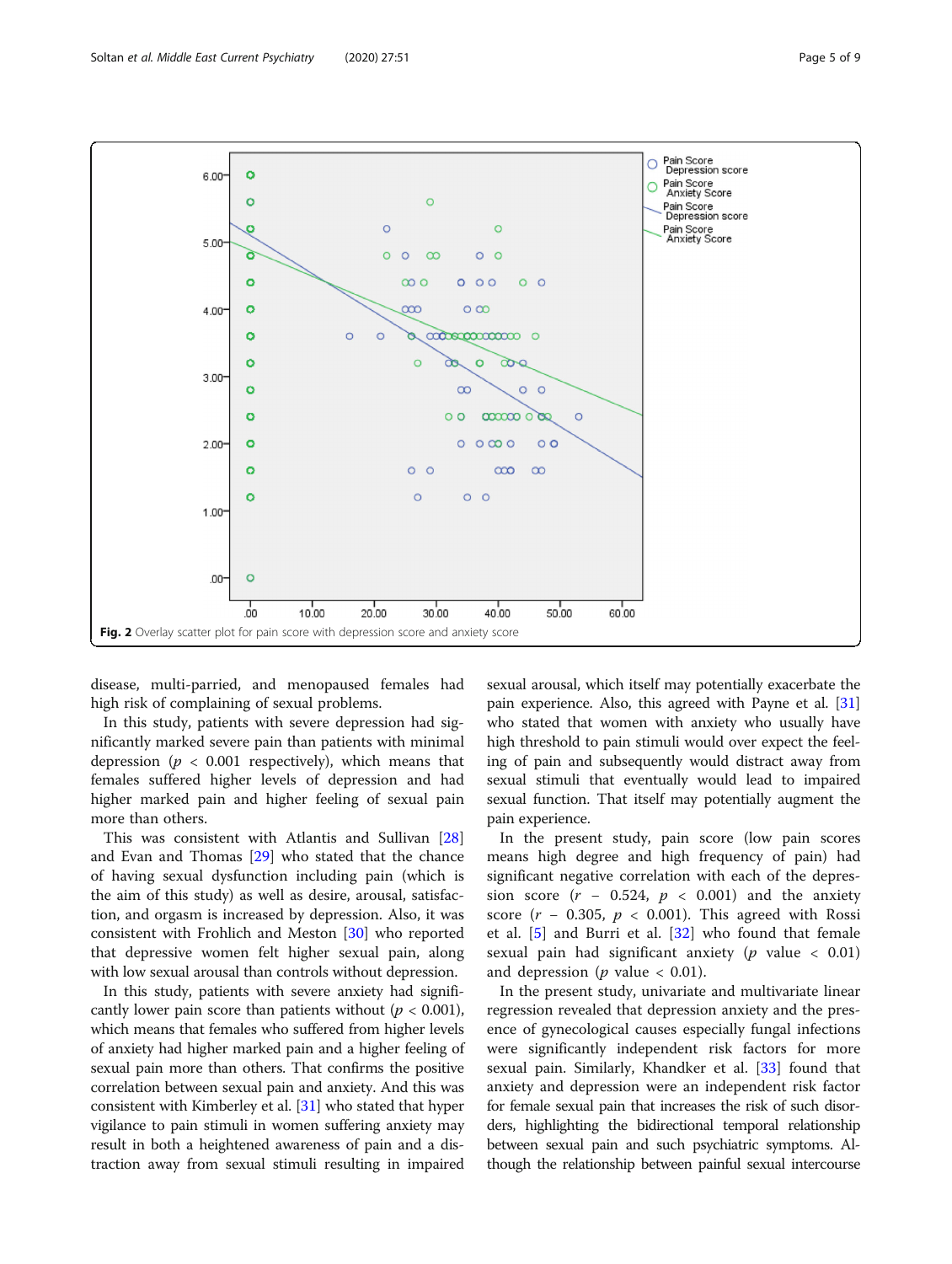<span id="page-4-0"></span>

disease, multi-parried, and menopaused females had high risk of complaining of sexual problems.

In this study, patients with severe depression had significantly marked severe pain than patients with minimal depression ( $p < 0.001$  respectively), which means that females suffered higher levels of depression and had higher marked pain and higher feeling of sexual pain more than others.

This was consistent with Atlantis and Sullivan [[28](#page-8-0)] and Evan and Thomas [\[29\]](#page-8-0) who stated that the chance of having sexual dysfunction including pain (which is the aim of this study) as well as desire, arousal, satisfaction, and orgasm is increased by depression. Also, it was consistent with Frohlich and Meston [[30\]](#page-8-0) who reported that depressive women felt higher sexual pain, along with low sexual arousal than controls without depression.

In this study, patients with severe anxiety had significantly lower pain score than patients without ( $p < 0.001$ ), which means that females who suffered from higher levels of anxiety had higher marked pain and a higher feeling of sexual pain more than others. That confirms the positive correlation between sexual pain and anxiety. And this was consistent with Kimberley et al. [\[31\]](#page-8-0) who stated that hyper vigilance to pain stimuli in women suffering anxiety may result in both a heightened awareness of pain and a distraction away from sexual stimuli resulting in impaired

sexual arousal, which itself may potentially exacerbate the pain experience. Also, this agreed with Payne et al. [[31](#page-8-0)] who stated that women with anxiety who usually have high threshold to pain stimuli would over expect the feeling of pain and subsequently would distract away from sexual stimuli that eventually would lead to impaired sexual function. That itself may potentially augment the pain experience.

In the present study, pain score (low pain scores means high degree and high frequency of pain) had significant negative correlation with each of the depression score  $(r - 0.524, p < 0.001)$  and the anxiety score ( $r$  – 0.305,  $p$  < 0.001). This agreed with Rossi et al. [[5](#page-7-0)] and Burri et al. [[32\]](#page-8-0) who found that female sexual pain had significant anxiety ( $p$  value  $\lt$  0.01) and depression ( $p$  value  $< 0.01$ ).

In the present study, univariate and multivariate linear regression revealed that depression anxiety and the presence of gynecological causes especially fungal infections were significantly independent risk factors for more sexual pain. Similarly, Khandker et al. [\[33\]](#page-8-0) found that anxiety and depression were an independent risk factor for female sexual pain that increases the risk of such disorders, highlighting the bidirectional temporal relationship between sexual pain and such psychiatric symptoms. Although the relationship between painful sexual intercourse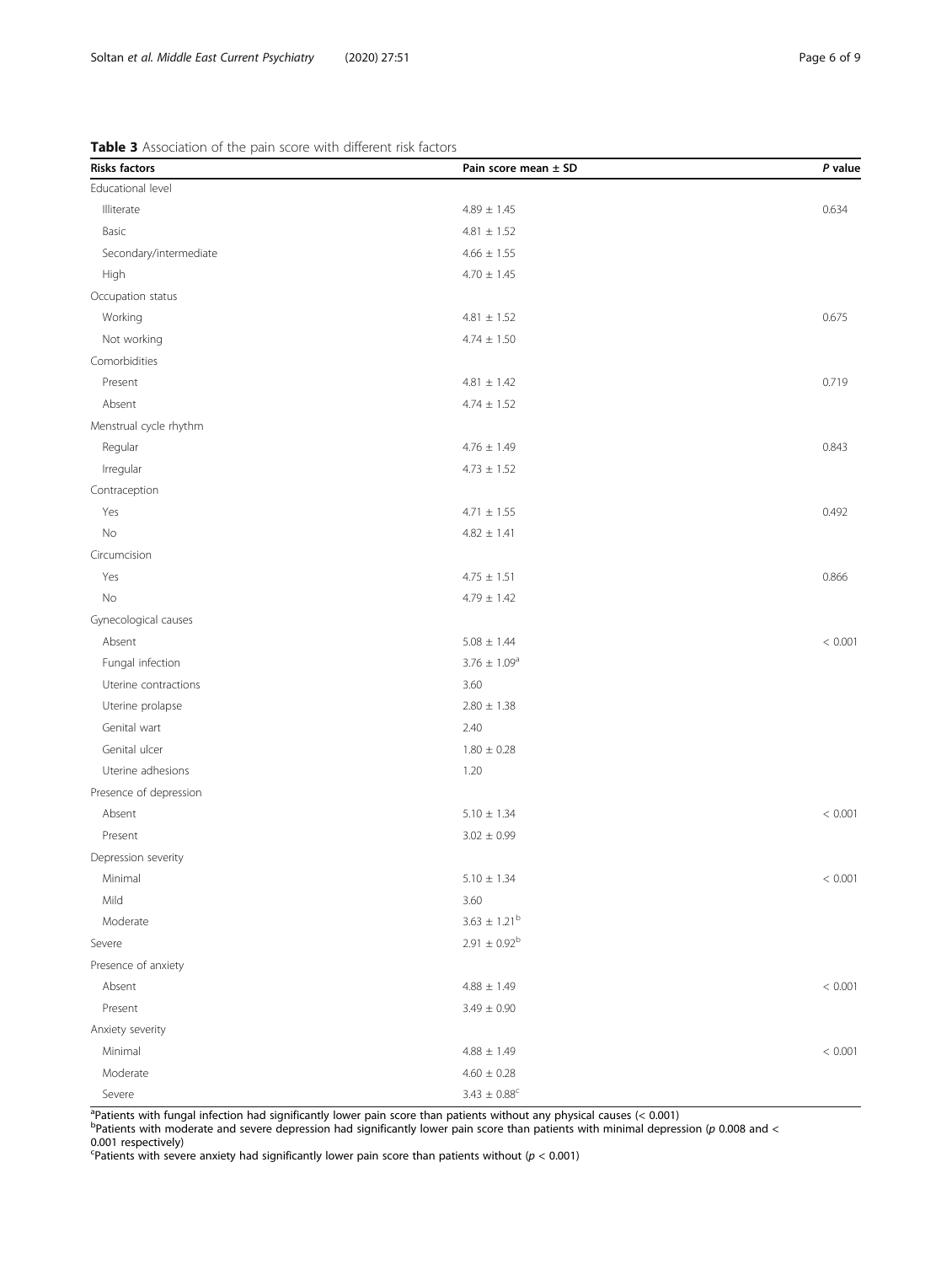<span id="page-5-0"></span>

| <b>Risks factors</b>   | Pain score mean ± SD    | P value     |
|------------------------|-------------------------|-------------|
| Educational level      |                         |             |
| Illiterate             | $4.89 \pm 1.45$         | 0.634       |
| Basic                  | $4.81 \pm 1.52$         |             |
| Secondary/intermediate | $4.66 \pm 1.55$         |             |
| High                   | $4.70 \pm 1.45$         |             |
| Occupation status      |                         |             |
| Working                | $4.81 \pm 1.52$         | 0.675       |
| Not working            | $4.74 \pm 1.50$         |             |
| Comorbidities          |                         |             |
| Present                | $4.81 \pm 1.42$         | 0.719       |
| Absent                 | $4.74 \pm 1.52$         |             |
| Menstrual cycle rhythm |                         |             |
| Regular                | $4.76 \pm 1.49$         | 0.843       |
| Irregular              | $4.73 \pm 1.52$         |             |
| Contraception          |                         |             |
| Yes                    | $4.71 \pm 1.55$         | 0.492       |
| No                     | $4.82 \pm 1.41$         |             |
| Circumcision           |                         |             |
| Yes                    | $4.75 \pm 1.51$         | 0.866       |
| No                     | $4.79 \pm 1.42$         |             |
| Gynecological causes   |                         |             |
| Absent                 | $5.08 \pm 1.44$         | < 0.001     |
| Fungal infection       | $3.76 \pm 1.09^a$       |             |
| Uterine contractions   | 3.60                    |             |
| Uterine prolapse       | $2.80 \pm 1.38$         |             |
| Genital wart           | 2.40                    |             |
| Genital ulcer          | $1.80 \pm 0.28$         |             |
| Uterine adhesions      | 1.20                    |             |
| Presence of depression |                         |             |
| Absent                 | $5.10 \pm 1.34$         | < 0.001     |
| Present                | $3.02 \pm 0.99$         |             |
| Depression severity    |                         |             |
| Minimal                | $5.10 \pm 1.34$         | $< 0.001\,$ |
| Mild                   | 3.60                    |             |
| Moderate               | $3.63 \pm 1.21^{\rm b}$ |             |
| Severe                 | $2.91 \pm 0.92^{\rm b}$ |             |
| Presence of anxiety    |                         |             |
| Absent                 | $4.88 \pm 1.49$         | < 0.001     |
| Present                | $3.49 \pm 0.90$         |             |
| Anxiety severity       |                         |             |
| Minimal                | $4.88 \pm 1.49$         | < 0.001     |
| Moderate               | $4.60 \pm 0.28$         |             |
| Severe                 | $3.43\,\pm\,0.88^\circ$ |             |

<sup>a</sup>Patients with fungal infection had significantly lower pain score than patients without any physical causes (< 0.001)<br><sup>b</sup>Patients with moderate and severe depression had significantly lower pain score than patients with 0.001 respectively)<br><sup>c</sup>Patients with severe anxiety had significantly lower pain score than patients without (*p <* 0.001)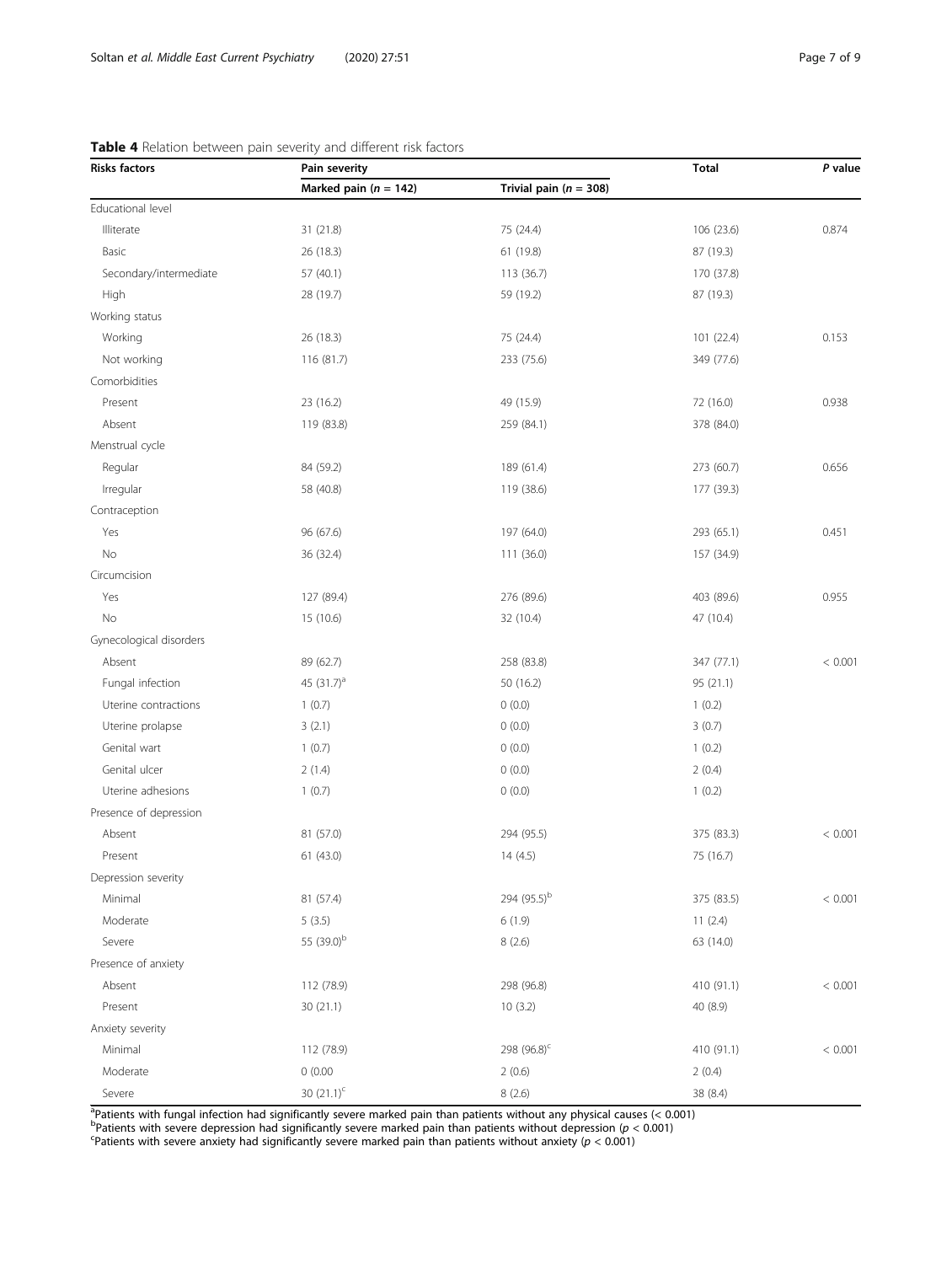| <b>Risks factors</b>    | Pain severity             | <b>Total</b>               | P value    |         |
|-------------------------|---------------------------|----------------------------|------------|---------|
|                         | Marked pain ( $n = 142$ ) | Trivial pain ( $n = 308$ ) |            |         |
| Educational level       |                           |                            |            |         |
| Illiterate              | 31 (21.8)                 | 75 (24.4)                  | 106 (23.6) | 0.874   |
| Basic                   | 26 (18.3)                 | 61 (19.8)                  | 87 (19.3)  |         |
| Secondary/intermediate  | 57 (40.1)                 | 113 (36.7)                 | 170 (37.8) |         |
| High                    | 28 (19.7)                 | 59 (19.2)                  | 87 (19.3)  |         |
| Working status          |                           |                            |            |         |
| Working                 | 26 (18.3)                 | 75 (24.4)                  | 101 (22.4) | 0.153   |
| Not working             | 116 (81.7)                | 233 (75.6)                 | 349 (77.6) |         |
| Comorbidities           |                           |                            |            |         |
| Present                 | 23 (16.2)                 | 49 (15.9)                  | 72 (16.0)  | 0.938   |
| Absent                  | 119 (83.8)                | 259 (84.1)                 | 378 (84.0) |         |
| Menstrual cycle         |                           |                            |            |         |
| Regular                 | 84 (59.2)                 | 189 (61.4)                 | 273 (60.7) | 0.656   |
| Irregular               | 58 (40.8)                 | 119 (38.6)                 | 177 (39.3) |         |
| Contraception           |                           |                            |            |         |
| Yes                     | 96 (67.6)                 | 197 (64.0)                 | 293 (65.1) | 0.451   |
| No                      | 36 (32.4)                 | 111 (36.0)                 | 157 (34.9) |         |
| Circumcision            |                           |                            |            |         |
| Yes                     | 127 (89.4)                | 276 (89.6)                 | 403 (89.6) | 0.955   |
| No                      | 15 (10.6)                 | 32 (10.4)                  | 47 (10.4)  |         |
| Gynecological disorders |                           |                            |            |         |
| Absent                  | 89 (62.7)                 | 258 (83.8)                 | 347 (77.1) | < 0.001 |
| Fungal infection        | 45 (31.7) <sup>a</sup>    | 50 (16.2)                  | 95 (21.1)  |         |
| Uterine contractions    | 1(0.7)                    | 0(0.0)                     | 1(0.2)     |         |
| Uterine prolapse        | 3(2.1)                    | 0(0.0)                     | 3(0.7)     |         |
| Genital wart            | 1(0.7)                    | 0(0.0)                     | 1(0.2)     |         |
| Genital ulcer           | 2(1.4)                    | 0(0.0)                     | 2(0.4)     |         |
| Uterine adhesions       | 1(0.7)                    | 0(0.0)                     | 1(0.2)     |         |
| Presence of depression  |                           |                            |            |         |
| Absent                  | 81 (57.0)                 | 294 (95.5)                 | 375 (83.3) | < 0.001 |
| Present                 | 61 (43.0)                 | 14(4.5)                    | 75 (16.7)  |         |
| Depression severity     |                           |                            |            |         |
| Minimal                 | 81 (57.4)                 | 294 (95.5) <sup>b</sup>    | 375 (83.5) | < 0.001 |
| Moderate                | 5(3.5)                    | 6(1.9)                     | 11(2.4)    |         |
| Severe                  | 55 (39.0) <sup>b</sup>    | 8(2.6)                     | 63 (14.0)  |         |
| Presence of anxiety     |                           |                            |            |         |
| Absent                  | 112 (78.9)                | 298 (96.8)                 | 410 (91.1) | < 0.001 |
| Present                 | 30(21.1)                  | 10(3.2)                    | 40 (8.9)   |         |
| Anxiety severity        |                           |                            |            |         |
| Minimal                 | 112 (78.9)                | 298 (96.8) <sup>c</sup>    | 410 (91.1) | < 0.001 |
| Moderate                | 0(0.00)                   | 2(0.6)                     | 2(0.4)     |         |
| Severe                  | 30 $(21.1)^{c}$           | 8(2.6)                     | 38 (8.4)   |         |

## <span id="page-6-0"></span>Table 4 Relation between pain severity and different risk factors

<sup>a</sup>Patients with fungal infection had significantly severe marked pain than patients without any physical causes (< 0.001)<br><sup>b</sup>Patients with severe depression had significantly severe marked pain than patients without depre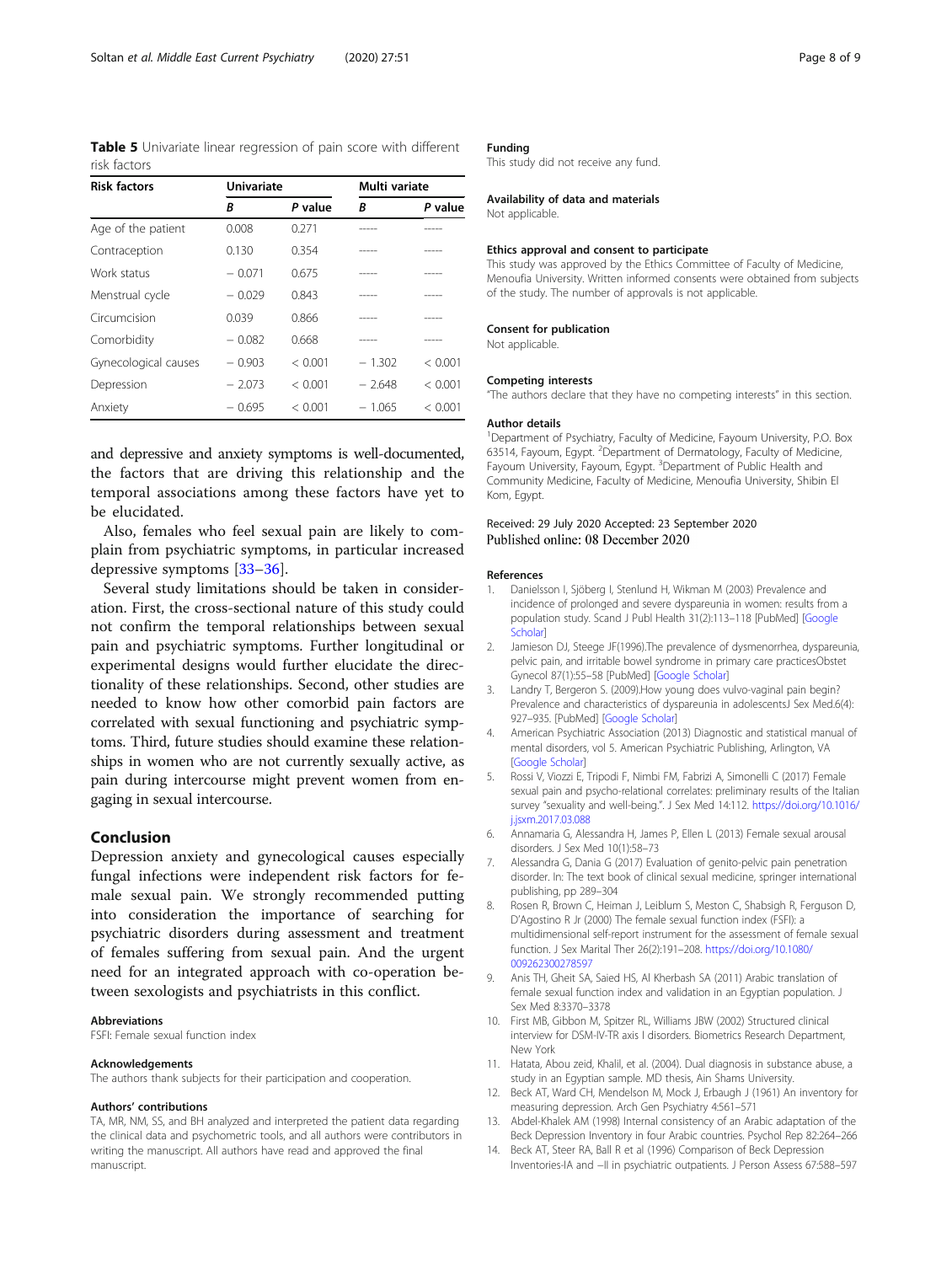<span id="page-7-0"></span>Table 5 Univariate linear regression of pain score with different risk factors

| <b>Risk factors</b>  | <b>Univariate</b> |         | Multi variate |         |  |
|----------------------|-------------------|---------|---------------|---------|--|
|                      | B                 | P value | R             | P value |  |
| Age of the patient   | 0.008             | 0.271   |               |         |  |
| Contraception        | 0.130             | 0.354   | -----         | -----   |  |
| Work status          | $-0.071$          | 0.675   | -----         | -----   |  |
| Menstrual cycle      | $-0.029$          | 0.843   |               |         |  |
| Circumcision         | 0.039             | 0.866   | -----         | -----   |  |
| Comorbidity          | $-0.082$          | 0.668   | -----         | -----   |  |
| Gynecological causes | $-0.903$          | < 0.001 | $-1.302$      | < 0.001 |  |
| Depression           | $-2.073$          | < 0.001 | - 2.648       | < 0.001 |  |
| Anxiety              | $-0.695$          | < 0.001 | $-1.065$      | < 0.001 |  |

and depressive and anxiety symptoms is well-documented, the factors that are driving this relationship and the temporal associations among these factors have yet to be elucidated.

Also, females who feel sexual pain are likely to complain from psychiatric symptoms, in particular increased depressive symptoms [\[33](#page-8-0)–[36](#page-8-0)].

Several study limitations should be taken in consideration. First, the cross-sectional nature of this study could not confirm the temporal relationships between sexual pain and psychiatric symptoms. Further longitudinal or experimental designs would further elucidate the directionality of these relationships. Second, other studies are needed to know how other comorbid pain factors are correlated with sexual functioning and psychiatric symptoms. Third, future studies should examine these relationships in women who are not currently sexually active, as pain during intercourse might prevent women from engaging in sexual intercourse.

#### Conclusion

Depression anxiety and gynecological causes especially fungal infections were independent risk factors for female sexual pain. We strongly recommended putting into consideration the importance of searching for psychiatric disorders during assessment and treatment of females suffering from sexual pain. And the urgent need for an integrated approach with co-operation between sexologists and psychiatrists in this conflict.

#### Abbreviations

FSFI: Female sexual function index

#### Acknowledgements

The authors thank subjects for their participation and cooperation.

#### Authors' contributions

TA, MR, NM, SS, and BH analyzed and interpreted the patient data regarding the clinical data and psychometric tools, and all authors were contributors in writing the manuscript. All authors have read and approved the final manuscript.

#### Funding

This study did not receive any fund.

#### Availability of data and materials

Not applicable.

## Ethics approval and consent to participate

This study was approved by the Ethics Committee of Faculty of Medicine, Menoufia University. Written informed consents were obtained from subjects of the study. The number of approvals is not applicable.

#### Consent for publication

Not applicable.

#### Competing interests

"The authors declare that they have no competing interests" in this section.

#### Author details

<sup>1</sup>Department of Psychiatry, Faculty of Medicine, Fayoum University, P.O. Box 63514, Fayoum, Egypt. <sup>2</sup>Department of Dermatology, Faculty of Medicine Fayoum University, Fayoum, Egypt. <sup>3</sup>Department of Public Health and Community Medicine, Faculty of Medicine, Menoufia University, Shibin El Kom, Egypt.

#### Received: 29 July 2020 Accepted: 23 September 2020 Published online: 08 December 2020

#### References

- 1. Danielsson I, Sjöberg I, Stenlund H, Wikman M (2003) Prevalence and incidence of prolonged and severe dyspareunia in women: results from a population study. Scand J Publ Health 31(2):113–118 [PubMed] [[Google](https://scholar.google.com/scholar_lookup?journal=Scandinavian+Journal+of+Public+Health&title=Prevalence+and+incidence+of+prolonged+and+severe+dyspareunia+in+women:+Results+from+a+population+study&author=I+Danielsson&author=I+Sj%C3%B6berg&author=H+Stenlund&author=M+Wikman&volume=31&issue=2&publication_year=2003&pages=113-118&pmid=12745761&) **[Scholar](https://scholar.google.com/scholar_lookup?journal=Scandinavian+Journal+of+Public+Health&title=Prevalence+and+incidence+of+prolonged+and+severe+dyspareunia+in+women:+Results+from+a+population+study&author=I+Danielsson&author=I+Sj%C3%B6berg&author=H+Stenlund&author=M+Wikman&volume=31&issue=2&publication_year=2003&pages=113-118&pmid=12745761&)l**
- 2. Jamieson DJ, Steege JF(1996).The prevalence of dysmenorrhea, dyspareunia, pelvic pain, and irritable bowel syndrome in primary care practicesObstet Gynecol 87(1):55–58 [PubMed] [\[Google Scholar\]](https://scholar.google.com/scholar_lookup?journal=Obstetrics+and+Gynecology&title=The+prevalence+of+dysmenorrhea,+dyspareunia,+pelvic+pain,+and+irritable+bowel+syndrome+in+primary+care+practices&author=DJ+Jamieson&author=JF+Steege&volume=87&issue=1&publication_year=1996&pages=55-58&pmid=8532266&)
- 3. Landry T, Bergeron S. (2009).How young does vulvo-vaginal pain begin? Prevalence and characteristics of dyspareunia in adolescentsJ Sex Med.6(4): 927–935. [PubMed] [[Google Scholar](https://scholar.google.com/scholar_lookup?journal=Journal+of+Sexual+Medicine&title=How+young+does+vulvo-vaginal+pain+begin?+Prevalence+and+characteristics+of+dyspareunia+in+adolescents&author=T+Landry&author=S+Bergeron&volume=6&issue=4&publication_year=2009&pages=927-935&pmid=19207275&)]
- 4. American Psychiatric Association (2013) Diagnostic and statistical manual of mental disorders, vol 5. American Psychiatric Publishing, Arlington, VA [[Google Scholar](https://scholar.google.com/scholar_lookup?title=Diagnostic+and+statistical+manual+of+mental+disorders&publication_year=2013&)]
- 5. Rossi V, Viozzi E, Tripodi F, Nimbi FM, Fabrizi A, Simonelli C (2017) Female sexual pain and psycho-relational correlates: preliminary results of the Italian survey "sexuality and well-being.". J Sex Med 14:112. [https://doi.org/10.1016/](https://doi.org/10.1016/j.jsxm.2017.03.088) [j.jsxm.2017.03.088](https://doi.org/10.1016/j.jsxm.2017.03.088)
- 6. Annamaria G, Alessandra H, James P, Ellen L (2013) Female sexual arousal disorders. J Sex Med 10(1):58–73
- 7. Alessandra G, Dania G (2017) Evaluation of genito-pelvic pain penetration disorder. In: The text book of clinical sexual medicine, springer international publishing, pp 289–304
- Rosen R, Brown C, Heiman J, Leiblum S, Meston C, Shabsigh R, Ferguson D, D'Agostino R Jr (2000) The female sexual function index (FSFI): a multidimensional self-report instrument for the assessment of female sexual function. J Sex Marital Ther 26(2):191–208. [https://doi.org/10.1080/](https://doi.org/10.1080/009262300278597) [009262300278597](https://doi.org/10.1080/009262300278597)
- 9. Anis TH, Gheit SA, Saied HS, Al Kherbash SA (2011) Arabic translation of female sexual function index and validation in an Egyptian population. J Sex Med 8:3370–3378
- 10. First MB, Gibbon M, Spitzer RL, Williams JBW (2002) Structured clinical interview for DSM-IV-TR axis I disorders. Biometrics Research Department, New York
- 11. Hatata, Abou zeid, Khalil, et al. (2004). Dual diagnosis in substance abuse, a study in an Egyptian sample. MD thesis, Ain Shams University.
- 12. Beck AT, Ward CH, Mendelson M, Mock J, Erbaugh J (1961) An inventory for measuring depression. Arch Gen Psychiatry 4:561–571
- 13. Abdel-Khalek AM (1998) Internal consistency of an Arabic adaptation of the Beck Depression Inventory in four Arabic countries. Psychol Rep 82:264–266
- 14. Beck AT, Steer RA, Ball R et al (1996) Comparison of Beck Depression Inventories-IA and −II in psychiatric outpatients. J Person Assess 67:588–597